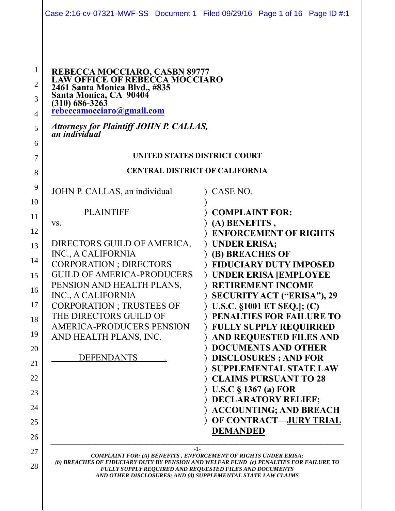| REBECCA MOCCIARO, CASBN 89777<br>LAW OFFICE OF REBECCA MOCCIARO<br>2461 Santa Monica Blvd., #835<br>Santa Monica, CA 90404<br>$(310)$ 686-3263<br>rebeccamocciaro@gmail.com                                                                                                                                                                            |                                                                                                                                                                                                                                                                                                                                                                                                                                                                                                                                                                                                                                                |
|--------------------------------------------------------------------------------------------------------------------------------------------------------------------------------------------------------------------------------------------------------------------------------------------------------------------------------------------------------|------------------------------------------------------------------------------------------------------------------------------------------------------------------------------------------------------------------------------------------------------------------------------------------------------------------------------------------------------------------------------------------------------------------------------------------------------------------------------------------------------------------------------------------------------------------------------------------------------------------------------------------------|
| <b>Attorneys for Plaintiff JOHN P. CALLAS, an individual</b>                                                                                                                                                                                                                                                                                           |                                                                                                                                                                                                                                                                                                                                                                                                                                                                                                                                                                                                                                                |
| UNITED STATES DISTRICT COURT                                                                                                                                                                                                                                                                                                                           |                                                                                                                                                                                                                                                                                                                                                                                                                                                                                                                                                                                                                                                |
| <b>CENTRAL DISTRICT OF CALIFORNIA</b>                                                                                                                                                                                                                                                                                                                  |                                                                                                                                                                                                                                                                                                                                                                                                                                                                                                                                                                                                                                                |
| JOHN P. CALLAS, an individual                                                                                                                                                                                                                                                                                                                          | CASE NO.                                                                                                                                                                                                                                                                                                                                                                                                                                                                                                                                                                                                                                       |
| <b>PLAINTIFF</b><br>VS.<br>DIRECTORS GUILD OF AMERICA,<br>INC., A CALIFORNIA<br><b>CORPORATION; DIRECTORS</b><br><b>GUILD OF AMERICA-PRODUCERS</b><br>PENSION AND HEALTH PLANS,<br>INC., A CALIFORNIA<br><b>CORPORATION ; TRUSTEES OF</b><br>THE DIRECTORS GUILD OF<br><b>AMERICA-PRODUCERS PENSION</b><br>AND HEALTH PLANS, INC.<br><b>DEFENDANTS</b> | <b>COMPLAINT FOR:</b><br>(A) BENEFITS,<br><b>ENFORCEMENT OF RIGHTS</b><br><b>UNDER ERISA;</b><br>(B) BREACHES OF<br><b>FIDUCIARY DUTY IMPOSED</b><br><b>UNDER ERISA JEMPLOYEE</b><br><b>RETIREMENT INCOME</b><br><b>SECURITY ACT ("ERISA"), 29</b><br>U.S.C. §1001 ET SEQ.]; (C)<br>PENALTIES FOR FAILURE TO<br><b>FULLY SUPPLY REQUIRRED</b><br>AND REQUESTED FILES AND<br><b>DOCUMENTS AND OTHER</b><br><b>DISCLOSURES</b> ; AND FOR<br><b>SUPPLEMENTAL STATE LAW</b><br><b>CLAIMS PURSUANT TO 28</b><br>U.S.C $\S$ 1367 (a) FOR<br><b>DECLARATORY RELIEF;</b><br><b>ACCOUNTING; AND BREACH</b><br>OF CONTRACT-JURY TRIAL<br><b>DEMANDED</b> |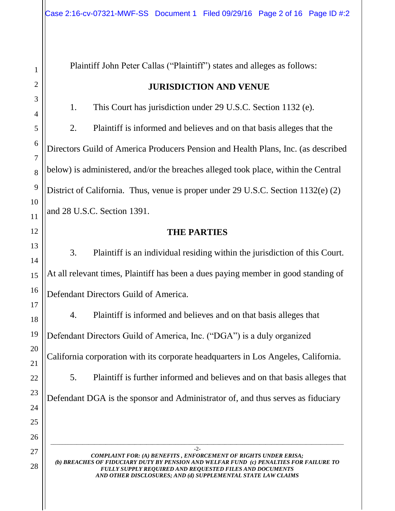1 2 3 4 5 6 7 8 9 10 11 12 13 14 15 16 17 18 19 20 21 28 \_\_\_\_\_\_\_\_\_\_\_\_\_\_\_\_\_\_\_\_\_\_\_\_\_\_\_\_\_\_\_\_\_\_\_\_\_\_\_\_\_\_\_\_\_\_\_\_\_\_\_\_\_\_\_\_\_\_\_\_\_\_\_\_\_\_\_\_\_\_\_\_\_\_\_\_\_\_\_\_\_\_\_\_\_\_\_\_\_\_\_\_\_\_\_\_\_\_\_\_\_ -2- *COMPLAINT FOR: (A) BENEFITS , ENFORCEMENT OF RIGHTS UNDER ERISA; (b) BREACHES OF FIDUCIARY DUTY BY PENSION AND WELFAR FUND (c) PENALTIES FOR FAILURE TO FULLY SUPPLY REQUIRED AND REQUESTED FILES AND DOCUMENTS*  Plaintiff John Peter Callas ("Plaintiff") states and alleges as follows: **JURISDICTION AND VENUE** 1. This Court has jurisdiction under 29 U.S.C. Section 1132 (e). 2. Plaintiff is informed and believes and on that basis alleges that the Directors Guild of America Producers Pension and Health Plans, Inc. (as described below) is administered, and/or the breaches alleged took place, within the Central District of California. Thus, venue is proper under 29 U.S.C. Section 1132(e) (2) and 28 U.S.C. Section 1391. **THE PARTIES** 3. Plaintiff is an individual residing within the jurisdiction of this Court. At all relevant times, Plaintiff has been a dues paying member in good standing of Defendant Directors Guild of America. 4. Plaintiff is informed and believes and on that basis alleges that Defendant Directors Guild of America, Inc. ("DGA") is a duly organized California corporation with its corporate headquarters in Los Angeles, California. 5. Plaintiff is further informed and believes and on that basis alleges that Defendant DGA is the sponsor and Administrator of, and thus serves as fiduciary

*AND OTHER DISCLOSURES; AND (d) SUPPLEMENTAL STATE LAW CLAIMS*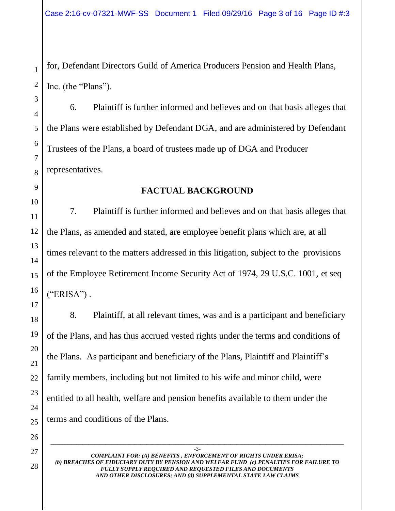Case 2:16-cv-07321-MWF-SS Document 1 Filed 09/29/16 Page 3 of 16 Page ID #:3

for, Defendant Directors Guild of America Producers Pension and Health Plans, Inc. (the "Plans").

6. Plaintiff is further informed and believes and on that basis alleges that the Plans were established by Defendant DGA, and are administered by Defendant Trustees of the Plans, a board of trustees made up of DGA and Producer representatives.

### **FACTUAL BACKGROUND**

7. Plaintiff is further informed and believes and on that basis alleges that the Plans, as amended and stated, are employee benefit plans which are, at all times relevant to the matters addressed in this litigation, subject to the provisions of the Employee Retirement Income Security Act of 1974, 29 U.S.C. 1001, et seq  $("ERISA")$ .

8. Plaintiff, at all relevant times, was and is a participant and beneficiary of the Plans, and has thus accrued vested rights under the terms and conditions of the Plans. As participant and beneficiary of the Plans, Plaintiff and Plaintiff's family members, including but not limited to his wife and minor child, were entitled to all health, welfare and pension benefits available to them under the terms and conditions of the Plans.

-3- *COMPLAINT FOR: (A) BENEFITS , ENFORCEMENT OF RIGHTS UNDER ERISA; (b) BREACHES OF FIDUCIARY DUTY BY PENSION AND WELFAR FUND (c) PENALTIES FOR FAILURE TO FULLY SUPPLY REQUIRED AND REQUESTED FILES AND DOCUMENTS AND OTHER DISCLOSURES; AND (d) SUPPLEMENTAL STATE LAW CLAIMS* 

\_\_\_\_\_\_\_\_\_\_\_\_\_\_\_\_\_\_\_\_\_\_\_\_\_\_\_\_\_\_\_\_\_\_\_\_\_\_\_\_\_\_\_\_\_\_\_\_\_\_\_\_\_\_\_\_\_\_\_\_\_\_\_\_\_\_\_\_\_\_\_\_\_\_\_\_\_\_\_\_\_\_\_\_\_\_\_\_\_\_\_\_\_\_\_\_\_\_\_\_\_

1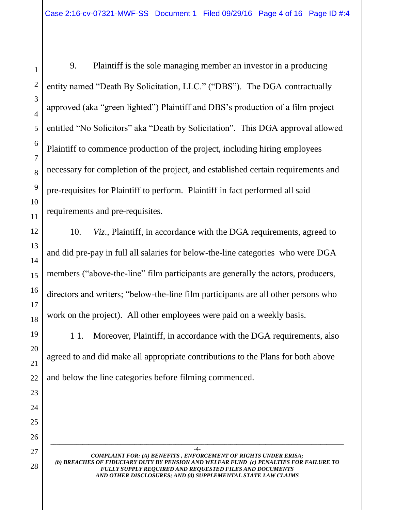9. Plaintiff is the sole managing member an investor in a producing entity named "Death By Solicitation, LLC." ("DBS"). The DGA contractually approved (aka "green lighted") Plaintiff and DBS's production of a film project entitled "No Solicitors" aka "Death by Solicitation". This DGA approval allowed Plaintiff to commence production of the project, including hiring employees necessary for completion of the project, and established certain requirements and pre-requisites for Plaintiff to perform. Plaintiff in fact performed all said requirements and pre-requisites.

10. *Viz*., Plaintiff, in accordance with the DGA requirements, agreed to and did pre-pay in full all salaries for below-the-line categories who were DGA members ("above-the-line" film participants are generally the actors, producers, directors and writers; "below-the-line film participants are all other persons who work on the project). All other employees were paid on a weekly basis.

1 1. Moreover, Plaintiff, in accordance with the DGA requirements, also agreed to and did make all appropriate contributions to the Plans for both above and below the line categories before filming commenced.

-4- *COMPLAINT FOR: (A) BENEFITS , ENFORCEMENT OF RIGHTS UNDER ERISA; (b) BREACHES OF FIDUCIARY DUTY BY PENSION AND WELFAR FUND (c) PENALTIES FOR FAILURE TO FULLY SUPPLY REQUIRED AND REQUESTED FILES AND DOCUMENTS AND OTHER DISCLOSURES; AND (d) SUPPLEMENTAL STATE LAW CLAIMS*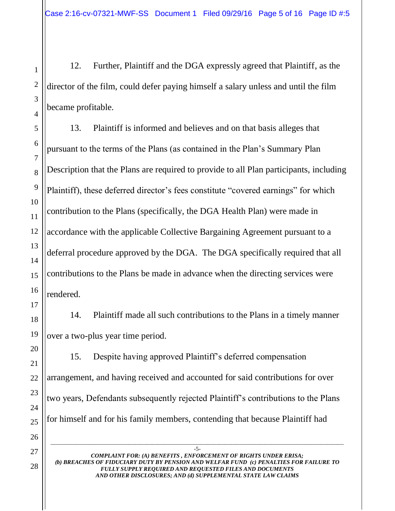12. Further, Plaintiff and the DGA expressly agreed that Plaintiff, as the director of the film, could defer paying himself a salary unless and until the film became profitable.

13. Plaintiff is informed and believes and on that basis alleges that pursuant to the terms of the Plans (as contained in the Plan's Summary Plan Description that the Plans are required to provide to all Plan participants, including Plaintiff), these deferred director's fees constitute "covered earnings" for which contribution to the Plans (specifically, the DGA Health Plan) were made in accordance with the applicable Collective Bargaining Agreement pursuant to a deferral procedure approved by the DGA. The DGA specifically required that all contributions to the Plans be made in advance when the directing services were rendered.

14. Plaintiff made all such contributions to the Plans in a timely manner over a two-plus year time period.

15. Despite having approved Plaintiff's deferred compensation arrangement, and having received and accounted for said contributions for over two years, Defendants subsequently rejected Plaintiff's contributions to the Plans for himself and for his family members, contending that because Plaintiff had

*COMPLAINT FOR: (A) BENEFITS , ENFORCEMENT OF RIGHTS UNDER ERISA; (b) BREACHES OF FIDUCIARY DUTY BY PENSION AND WELFAR FUND (c) PENALTIES FOR FAILURE TO FULLY SUPPLY REQUIRED AND REQUESTED FILES AND DOCUMENTS AND OTHER DISCLOSURES; AND (d) SUPPLEMENTAL STATE LAW CLAIMS*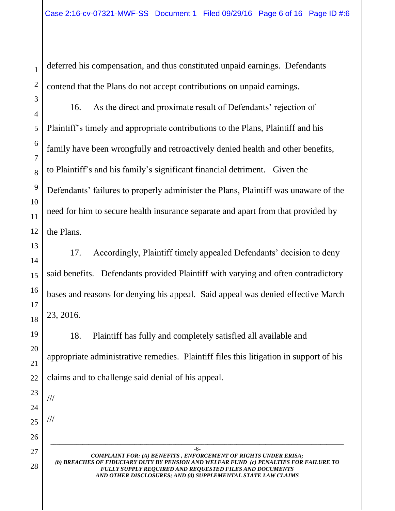deferred his compensation, and thus constituted unpaid earnings. Defendants contend that the Plans do not accept contributions on unpaid earnings.

16. As the direct and proximate result of Defendants' rejection of Plaintiff's timely and appropriate contributions to the Plans, Plaintiff and his family have been wrongfully and retroactively denied health and other benefits, to Plaintiff's and his family's significant financial detriment. Given the Defendants' failures to properly administer the Plans, Plaintiff was unaware of the need for him to secure health insurance separate and apart from that provided by the Plans.

17. Accordingly, Plaintiff timely appealed Defendants' decision to deny said benefits. Defendants provided Plaintiff with varying and often contradictory bases and reasons for denying his appeal. Said appeal was denied effective March 23, 2016.

18. Plaintiff has fully and completely satisfied all available and appropriate administrative remedies. Plaintiff files this litigation in support of his claims and to challenge said denial of his appeal.

*COMPLAINT FOR: (A) BENEFITS , ENFORCEMENT OF RIGHTS UNDER ERISA; (b) BREACHES OF FIDUCIARY DUTY BY PENSION AND WELFAR FUND (c) PENALTIES FOR FAILURE TO FULLY SUPPLY REQUIRED AND REQUESTED FILES AND DOCUMENTS AND OTHER DISCLOSURES; AND (d) SUPPLEMENTAL STATE LAW CLAIMS* 

\_\_\_\_\_\_\_\_\_\_\_\_\_\_\_\_\_\_\_\_\_\_\_\_\_\_\_\_\_\_\_\_\_\_\_\_\_\_\_\_\_\_\_\_\_\_\_\_\_\_\_\_\_\_\_\_\_\_\_\_\_\_\_\_\_\_\_\_\_\_\_\_\_\_\_\_\_\_\_\_\_\_\_\_\_\_\_\_\_\_\_\_\_\_\_\_\_\_\_\_\_ -6-

///

///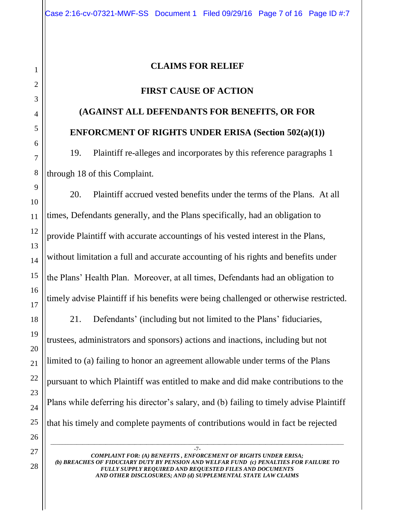## **CLAIMS FOR RELIEF**

## **FIRST CAUSE OF ACTION**

# **(AGAINST ALL DEFENDANTS FOR BENEFITS, OR FOR ENFORCMENT OF RIGHTS UNDER ERISA (Section 502(a)(1))**

19. Plaintiff re-alleges and incorporates by this reference paragraphs 1 through 18 of this Complaint.

20. Plaintiff accrued vested benefits under the terms of the Plans. At all times, Defendants generally, and the Plans specifically, had an obligation to provide Plaintiff with accurate accountings of his vested interest in the Plans, without limitation a full and accurate accounting of his rights and benefits under the Plans' Health Plan. Moreover, at all times, Defendants had an obligation to timely advise Plaintiff if his benefits were being challenged or otherwise restricted. 21. Defendants' (including but not limited to the Plans' fiduciaries,

trustees, administrators and sponsors) actions and inactions, including but not limited to (a) failing to honor an agreement allowable under terms of the Plans pursuant to which Plaintiff was entitled to make and did make contributions to the Plans while deferring his director's salary, and (b) failing to timely advise Plaintiff that his timely and complete payments of contributions would in fact be rejected

*COMPLAINT FOR: (A) BENEFITS , ENFORCEMENT OF RIGHTS UNDER ERISA; (b) BREACHES OF FIDUCIARY DUTY BY PENSION AND WELFAR FUND (c) PENALTIES FOR FAILURE TO FULLY SUPPLY REQUIRED AND REQUESTED FILES AND DOCUMENTS AND OTHER DISCLOSURES; AND (d) SUPPLEMENTAL STATE LAW CLAIMS*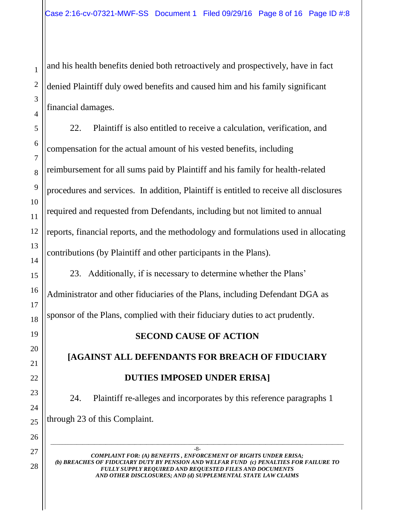and his health benefits denied both retroactively and prospectively, have in fact denied Plaintiff duly owed benefits and caused him and his family significant financial damages.

22. Plaintiff is also entitled to receive a calculation, verification, and compensation for the actual amount of his vested benefits, including reimbursement for all sums paid by Plaintiff and his family for health-related procedures and services. In addition, Plaintiff is entitled to receive all disclosures required and requested from Defendants, including but not limited to annual reports, financial reports, and the methodology and formulations used in allocating contributions (by Plaintiff and other participants in the Plans).

23. Additionally, if is necessary to determine whether the Plans' Administrator and other fiduciaries of the Plans, including Defendant DGA as sponsor of the Plans, complied with their fiduciary duties to act prudently.

# **SECOND CAUSE OF ACTION**

**[AGAINST ALL DEFENDANTS FOR BREACH OF FIDUCIARY DUTIES IMPOSED UNDER ERISA]**

24. Plaintiff re-alleges and incorporates by this reference paragraphs 1 through 23 of this Complaint.

-8- *COMPLAINT FOR: (A) BENEFITS , ENFORCEMENT OF RIGHTS UNDER ERISA; (b) BREACHES OF FIDUCIARY DUTY BY PENSION AND WELFAR FUND (c) PENALTIES FOR FAILURE TO FULLY SUPPLY REQUIRED AND REQUESTED FILES AND DOCUMENTS AND OTHER DISCLOSURES; AND (d) SUPPLEMENTAL STATE LAW CLAIMS*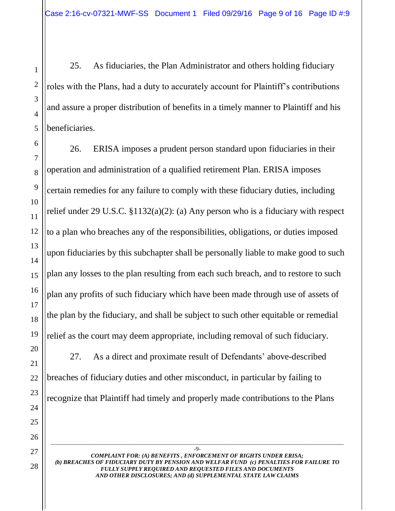25. As fiduciaries, the Plan Administrator and others holding fiduciary roles with the Plans, had a duty to accurately account for Plaintiff's contributions and assure a proper distribution of benefits in a timely manner to Plaintiff and his beneficiaries.

26. ERISA imposes a prudent person standard upon fiduciaries in their operation and administration of a qualified retirement Plan. ERISA imposes certain remedies for any failure to comply with these fiduciary duties, including relief under 29 U.S.C. §1132(a)(2): (a) Any person who is a fiduciary with respect to a plan who breaches any of the responsibilities, obligations, or duties imposed upon fiduciaries by this subchapter shall be personally liable to make good to such plan any losses to the plan resulting from each such breach, and to restore to such plan any profits of such fiduciary which have been made through use of assets of the plan by the fiduciary, and shall be subject to such other equitable or remedial relief as the court may deem appropriate, including removal of such fiduciary.

27. As a direct and proximate result of Defendants' above-described breaches of fiduciary duties and other misconduct, in particular by failing to recognize that Plaintiff had timely and properly made contributions to the Plans

-9- *COMPLAINT FOR: (A) BENEFITS , ENFORCEMENT OF RIGHTS UNDER ERISA; (b) BREACHES OF FIDUCIARY DUTY BY PENSION AND WELFAR FUND (c) PENALTIES FOR FAILURE TO FULLY SUPPLY REQUIRED AND REQUESTED FILES AND DOCUMENTS AND OTHER DISCLOSURES; AND (d) SUPPLEMENTAL STATE LAW CLAIMS*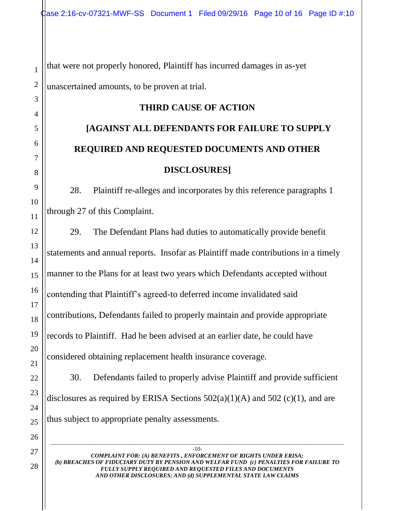that were not properly honored, Plaintiff has incurred damages in as-yet unascertained amounts, to be proven at trial.

## **THIRD CAUSE OF ACTION**

# **[AGAINST ALL DEFENDANTS FOR FAILURE TO SUPPLY REQUIRED AND REQUESTED DOCUMENTS AND OTHER DISCLOSURES]**

28. Plaintiff re-alleges and incorporates by this reference paragraphs 1 through 27 of this Complaint.

29. The Defendant Plans had duties to automatically provide benefit statements and annual reports. Insofar as Plaintiff made contributions in a timely manner to the Plans for at least two years which Defendants accepted without contending that Plaintiff's agreed-to deferred income invalidated said contributions, Defendants failed to properly maintain and provide appropriate records to Plaintiff. Had he been advised at an earlier date, he could have considered obtaining replacement health insurance coverage.

30. Defendants failed to properly advise Plaintiff and provide sufficient disclosures as required by ERISA Sections  $502(a)(1)(A)$  and  $502(c)(1)$ , and are thus subject to appropriate penalty assessments.

-10- *COMPLAINT FOR: (A) BENEFITS , ENFORCEMENT OF RIGHTS UNDER ERISA; (b) BREACHES OF FIDUCIARY DUTY BY PENSION AND WELFAR FUND (c) PENALTIES FOR FAILURE TO FULLY SUPPLY REQUIRED AND REQUESTED FILES AND DOCUMENTS AND OTHER DISCLOSURES; AND (d) SUPPLEMENTAL STATE LAW CLAIMS*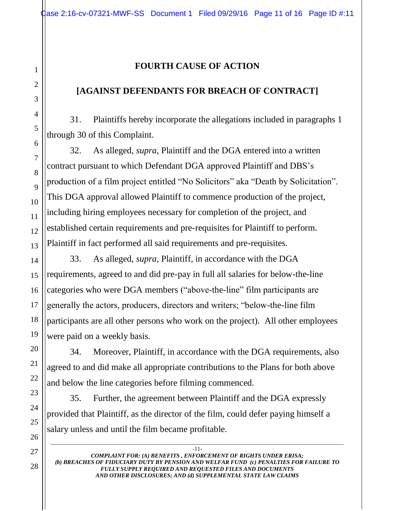# **FOURTH CAUSE OF ACTION**

# **[AGAINST DEFENDANTS FOR BREACH OF CONTRACT]**

31. Plaintiffs hereby incorporate the allegations included in paragraphs 1 through 30 of this Complaint.

32. As alleged, *supra*, Plaintiff and the DGA entered into a written contract pursuant to which Defendant DGA approved Plaintiff and DBS's production of a film project entitled "No Solicitors" aka "Death by Solicitation". This DGA approval allowed Plaintiff to commence production of the project, including hiring employees necessary for completion of the project, and established certain requirements and pre-requisites for Plaintiff to perform. Plaintiff in fact performed all said requirements and pre-requisites.

33. As alleged, *supra,* Plaintiff, in accordance with the DGA requirements, agreed to and did pre-pay in full all salaries for below-the-line categories who were DGA members ("above-the-line" film participants are generally the actors, producers, directors and writers; "below-the-line film participants are all other persons who work on the project). All other employees were paid on a weekly basis.

34. Moreover, Plaintiff, in accordance with the DGA requirements, also agreed to and did make all appropriate contributions to the Plans for both above and below the line categories before filming commenced.

35. Further, the agreement between Plaintiff and the DGA expressly provided that Plaintiff, as the director of the film, could defer paying himself a salary unless and until the film became profitable.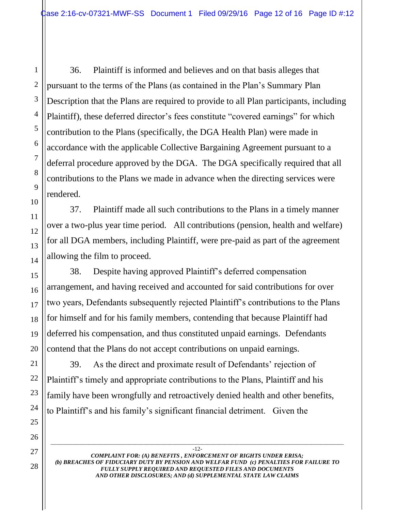36. Plaintiff is informed and believes and on that basis alleges that pursuant to the terms of the Plans (as contained in the Plan's Summary Plan Description that the Plans are required to provide to all Plan participants, including Plaintiff), these deferred director's fees constitute "covered earnings" for which contribution to the Plans (specifically, the DGA Health Plan) were made in accordance with the applicable Collective Bargaining Agreement pursuant to a deferral procedure approved by the DGA. The DGA specifically required that all contributions to the Plans we made in advance when the directing services were rendered.

37. Plaintiff made all such contributions to the Plans in a timely manner over a two-plus year time period. All contributions (pension, health and welfare) for all DGA members, including Plaintiff, were pre-paid as part of the agreement allowing the film to proceed.

38. Despite having approved Plaintiff's deferred compensation arrangement, and having received and accounted for said contributions for over two years, Defendants subsequently rejected Plaintiff's contributions to the Plans for himself and for his family members, contending that because Plaintiff had deferred his compensation, and thus constituted unpaid earnings. Defendants contend that the Plans do not accept contributions on unpaid earnings.

39. As the direct and proximate result of Defendants' rejection of Plaintiff's timely and appropriate contributions to the Plans, Plaintiff and his family have been wrongfully and retroactively denied health and other benefits, to Plaintiff's and his family's significant financial detriment. Given the

-12- *COMPLAINT FOR: (A) BENEFITS , ENFORCEMENT OF RIGHTS UNDER ERISA; (b) BREACHES OF FIDUCIARY DUTY BY PENSION AND WELFAR FUND (c) PENALTIES FOR FAILURE TO FULLY SUPPLY REQUIRED AND REQUESTED FILES AND DOCUMENTS AND OTHER DISCLOSURES; AND (d) SUPPLEMENTAL STATE LAW CLAIMS*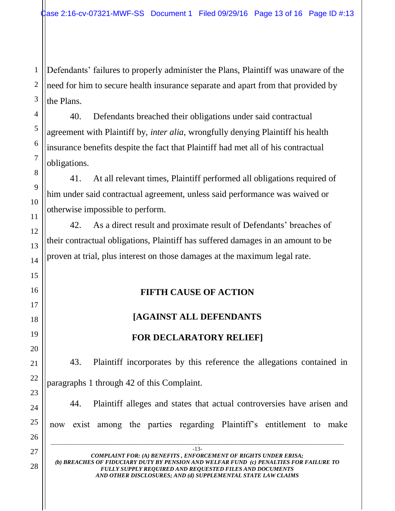Defendants' failures to properly administer the Plans, Plaintiff was unaware of the need for him to secure health insurance separate and apart from that provided by the Plans.

40. Defendants breached their obligations under said contractual agreement with Plaintiff by, *inter alia,* wrongfully denying Plaintiff his health insurance benefits despite the fact that Plaintiff had met all of his contractual obligations.

41. At all relevant times, Plaintiff performed all obligations required of him under said contractual agreement, unless said performance was waived or otherwise impossible to perform.

42. As a direct result and proximate result of Defendants' breaches of their contractual obligations, Plaintiff has suffered damages in an amount to be proven at trial, plus interest on those damages at the maximum legal rate.

# **FIFTH CAUSE OF ACTION**

# **[AGAINST ALL DEFENDANTS**

# **FOR DECLARATORY RELIEF]**

43. Plaintiff incorporates by this reference the allegations contained in paragraphs 1 through 42 of this Complaint.

44. Plaintiff alleges and states that actual controversies have arisen and now exist among the parties regarding Plaintiff's entitlement to make

*COMPLAINT FOR: (A) BENEFITS , ENFORCEMENT OF RIGHTS UNDER ERISA; (b) BREACHES OF FIDUCIARY DUTY BY PENSION AND WELFAR FUND (c) PENALTIES FOR FAILURE TO FULLY SUPPLY REQUIRED AND REQUESTED FILES AND DOCUMENTS AND OTHER DISCLOSURES; AND (d) SUPPLEMENTAL STATE LAW CLAIMS*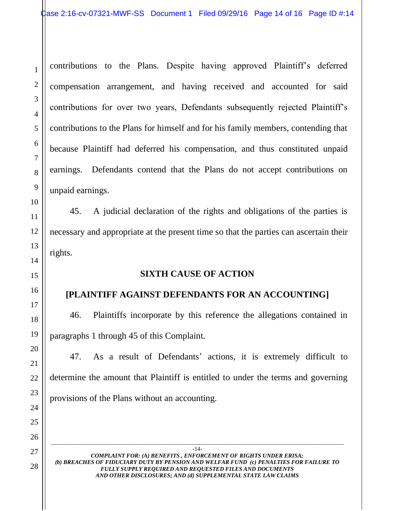contributions to the Plans. Despite having approved Plaintiff's deferred compensation arrangement, and having received and accounted for said contributions for over two years, Defendants subsequently rejected Plaintiff's contributions to the Plans for himself and for his family members, contending that because Plaintiff had deferred his compensation, and thus constituted unpaid earnings. Defendants contend that the Plans do not accept contributions on unpaid earnings.

45. A judicial declaration of the rights and obligations of the parties is necessary and appropriate at the present time so that the parties can ascertain their rights.

#### **SIXTH CAUSE OF ACTION**

### **[PLAINTIFF AGAINST DEFENDANTS FOR AN ACCOUNTING]**

46. Plaintiffs incorporate by this reference the allegations contained in paragraphs 1 through 45 of this Complaint.

47. As a result of Defendants' actions, it is extremely difficult to determine the amount that Plaintiff is entitled to under the terms and governing provisions of the Plans without an accounting.

*COMPLAINT FOR: (A) BENEFITS , ENFORCEMENT OF RIGHTS UNDER ERISA; (b) BREACHES OF FIDUCIARY DUTY BY PENSION AND WELFAR FUND (c) PENALTIES FOR FAILURE TO FULLY SUPPLY REQUIRED AND REQUESTED FILES AND DOCUMENTS AND OTHER DISCLOSURES; AND (d) SUPPLEMENTAL STATE LAW CLAIMS*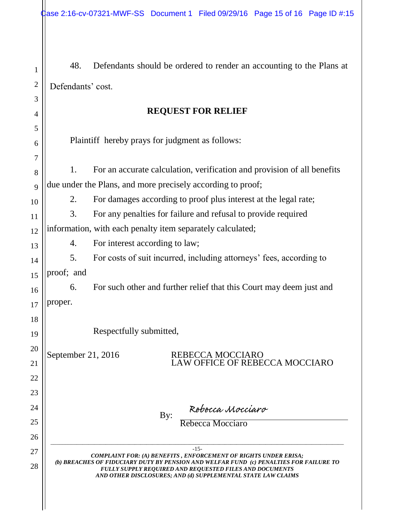| $\mathbf{1}$             | 48.                                                                                                                                                                                                                                                                                                   | Defendants should be ordered to render an accounting to the Plans at    |  |
|--------------------------|-------------------------------------------------------------------------------------------------------------------------------------------------------------------------------------------------------------------------------------------------------------------------------------------------------|-------------------------------------------------------------------------|--|
| $\boldsymbol{2}$         | Defendants' cost.                                                                                                                                                                                                                                                                                     |                                                                         |  |
| 3                        |                                                                                                                                                                                                                                                                                                       |                                                                         |  |
| 4                        |                                                                                                                                                                                                                                                                                                       | <b>REQUEST FOR RELIEF</b>                                               |  |
| 5                        |                                                                                                                                                                                                                                                                                                       |                                                                         |  |
| 6                        |                                                                                                                                                                                                                                                                                                       | Plaintiff hereby prays for judgment as follows:                         |  |
| 7                        | 1.                                                                                                                                                                                                                                                                                                    | For an accurate calculation, verification and provision of all benefits |  |
| 8                        |                                                                                                                                                                                                                                                                                                       | due under the Plans, and more precisely according to proof;             |  |
| 9                        | 2.                                                                                                                                                                                                                                                                                                    | For damages according to proof plus interest at the legal rate;         |  |
| 10<br>11                 | 3.                                                                                                                                                                                                                                                                                                    | For any penalties for failure and refusal to provide required           |  |
| 12                       |                                                                                                                                                                                                                                                                                                       | information, with each penalty item separately calculated;              |  |
| 13                       | 4.                                                                                                                                                                                                                                                                                                    | For interest according to law;                                          |  |
| 14                       | 5.                                                                                                                                                                                                                                                                                                    | For costs of suit incurred, including attorneys' fees, according to     |  |
| 15                       | proof; and                                                                                                                                                                                                                                                                                            |                                                                         |  |
| 16                       | 6.                                                                                                                                                                                                                                                                                                    | For such other and further relief that this Court may deem just and     |  |
| 17                       | proper.                                                                                                                                                                                                                                                                                               |                                                                         |  |
| 18                       |                                                                                                                                                                                                                                                                                                       |                                                                         |  |
| 19                       |                                                                                                                                                                                                                                                                                                       | Respectfully submitted,                                                 |  |
| 20                       |                                                                                                                                                                                                                                                                                                       |                                                                         |  |
| September 21, 2016<br>21 |                                                                                                                                                                                                                                                                                                       | REBECCA MOCCIARO<br>LAW OFFICE OF REBECCA MOCCIARO                      |  |
| 22                       |                                                                                                                                                                                                                                                                                                       |                                                                         |  |
| 23                       |                                                                                                                                                                                                                                                                                                       |                                                                         |  |
| 24                       |                                                                                                                                                                                                                                                                                                       |                                                                         |  |
| 25                       |                                                                                                                                                                                                                                                                                                       | Rebecca Mocciaro<br>Rebecca Mocciaro<br>By:                             |  |
| 26                       |                                                                                                                                                                                                                                                                                                       |                                                                         |  |
| 27                       | $-15-$<br><b>COMPLAINT FOR: (A) BENEFITS, ENFORCEMENT OF RIGHTS UNDER ERISA;</b><br>(b) BREACHES OF FIDUCIARY DUTY BY PENSION AND WELFAR FUND (c) PENALTIES FOR FAILURE TO<br>FULLY SUPPLY REQUIRED AND REQUESTED FILES AND DOCUMENTS<br>AND OTHER DISCLOSURES; AND (d) SUPPLEMENTAL STATE LAW CLAIMS |                                                                         |  |
| 28                       |                                                                                                                                                                                                                                                                                                       |                                                                         |  |
|                          |                                                                                                                                                                                                                                                                                                       |                                                                         |  |
|                          |                                                                                                                                                                                                                                                                                                       |                                                                         |  |